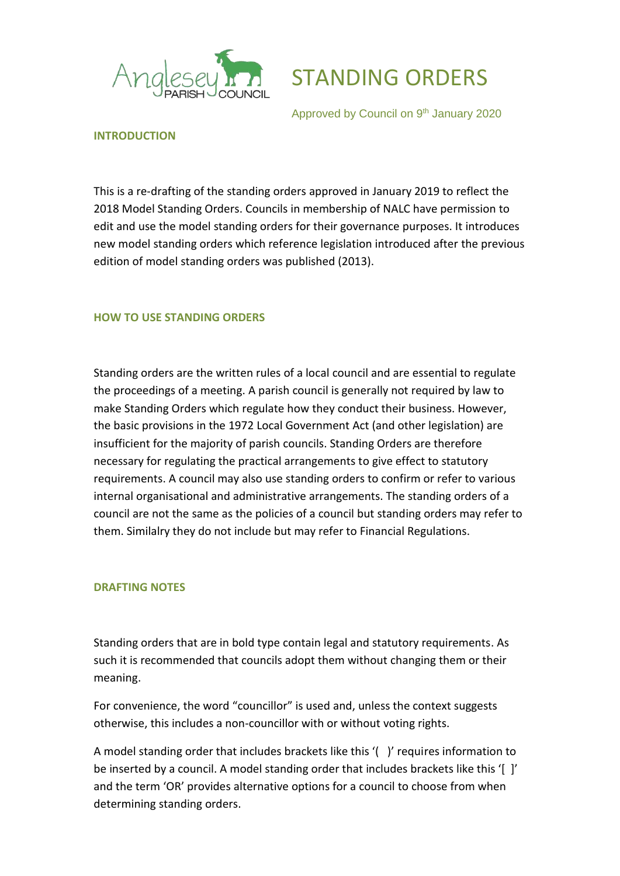



Approved by Council on 9<sup>th</sup> January 2020

### **INTRODUCTION**

This is a re-drafting of the standing orders approved in January 2019 to reflect the 2018 Model Standing Orders. Councils in membership of NALC have permission to edit and use the model standing orders for their governance purposes. It introduces new model standing orders which reference legislation introduced after the previous edition of model standing orders was published (2013).

## **HOW TO USE STANDING ORDERS**

Standing orders are the written rules of a local council and are essential to regulate the proceedings of a meeting. A parish council is generally not required by law to make Standing Orders which regulate how they conduct their business. However, the basic provisions in the 1972 Local Government Act (and other legislation) are insufficient for the majority of parish councils. Standing Orders are therefore necessary for regulating the practical arrangements to give effect to statutory requirements. A council may also use standing orders to confirm or refer to various internal organisational and administrative arrangements. The standing orders of a council are not the same as the policies of a council but standing orders may refer to them. Similalry they do not include but may refer to Financial Regulations.

### **DRAFTING NOTES**

Standing orders that are in bold type contain legal and statutory requirements. As such it is recommended that councils adopt them without changing them or their meaning.

For convenience, the word "councillor" is used and, unless the context suggests otherwise, this includes a non-councillor with or without voting rights.

A model standing order that includes brackets like this '( )' requires information to be inserted by a council. A model standing order that includes brackets like this '[ ]' and the term 'OR' provides alternative options for a council to choose from when determining standing orders.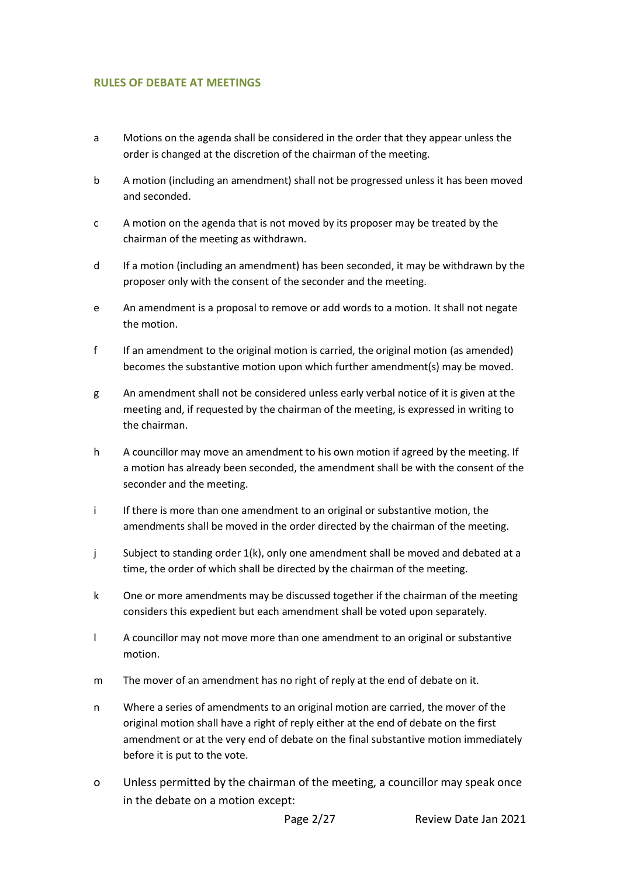### **RULES OF DEBATE AT MEETINGS**

- a Motions on the agenda shall be considered in the order that they appear unless the order is changed at the discretion of the chairman of the meeting.
- b A motion (including an amendment) shall not be progressed unless it has been moved and seconded.
- c A motion on the agenda that is not moved by its proposer may be treated by the chairman of the meeting as withdrawn.
- d If a motion (including an amendment) has been seconded, it may be withdrawn by the proposer only with the consent of the seconder and the meeting.
- e An amendment is a proposal to remove or add words to a motion. It shall not negate the motion.
- f If an amendment to the original motion is carried, the original motion (as amended) becomes the substantive motion upon which further amendment(s) may be moved.
- g An amendment shall not be considered unless early verbal notice of it is given at the meeting and, if requested by the chairman of the meeting, is expressed in writing to the chairman.
- h A councillor may move an amendment to his own motion if agreed by the meeting. If a motion has already been seconded, the amendment shall be with the consent of the seconder and the meeting.
- i If there is more than one amendment to an original or substantive motion, the amendments shall be moved in the order directed by the chairman of the meeting.
- j Subject to standing order 1(k), only one amendment shall be moved and debated at a time, the order of which shall be directed by the chairman of the meeting.
- k One or more amendments may be discussed together if the chairman of the meeting considers this expedient but each amendment shall be voted upon separately.
- l A councillor may not move more than one amendment to an original or substantive motion.
- m The mover of an amendment has no right of reply at the end of debate on it.
- n Where a series of amendments to an original motion are carried, the mover of the original motion shall have a right of reply either at the end of debate on the first amendment or at the very end of debate on the final substantive motion immediately before it is put to the vote.
- o Unless permitted by the chairman of the meeting, a councillor may speak once in the debate on a motion except: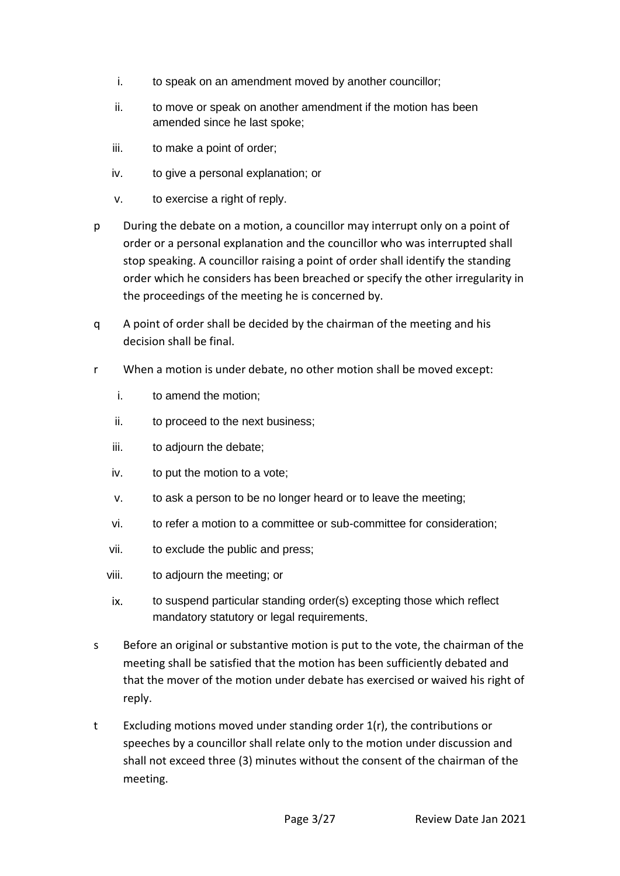- i. to speak on an amendment moved by another councillor;
- ii. to move or speak on another amendment if the motion has been amended since he last spoke;
- iii. to make a point of order;
- iv. to give a personal explanation; or
- v. to exercise a right of reply.
- p During the debate on a motion, a councillor may interrupt only on a point of order or a personal explanation and the councillor who was interrupted shall stop speaking. A councillor raising a point of order shall identify the standing order which he considers has been breached or specify the other irregularity in the proceedings of the meeting he is concerned by.
- q A point of order shall be decided by the chairman of the meeting and his decision shall be final.
- r When a motion is under debate, no other motion shall be moved except:
	- i. to amend the motion;
	- ii. to proceed to the next business;
	- iii. to adjourn the debate;
	- iv. to put the motion to a vote;
	- v. to ask a person to be no longer heard or to leave the meeting;
	- vi. to refer a motion to a committee or sub-committee for consideration;
	- vii. to exclude the public and press;
	- viii. to adjourn the meeting; or
	- ix. to suspend particular standing order(s) excepting those which reflect mandatory statutory or legal requirements.
- s Before an original or substantive motion is put to the vote, the chairman of the meeting shall be satisfied that the motion has been sufficiently debated and that the mover of the motion under debate has exercised or waived his right of reply.
- t Excluding motions moved under standing order 1(r), the contributions or speeches by a councillor shall relate only to the motion under discussion and shall not exceed three (3) minutes without the consent of the chairman of the meeting.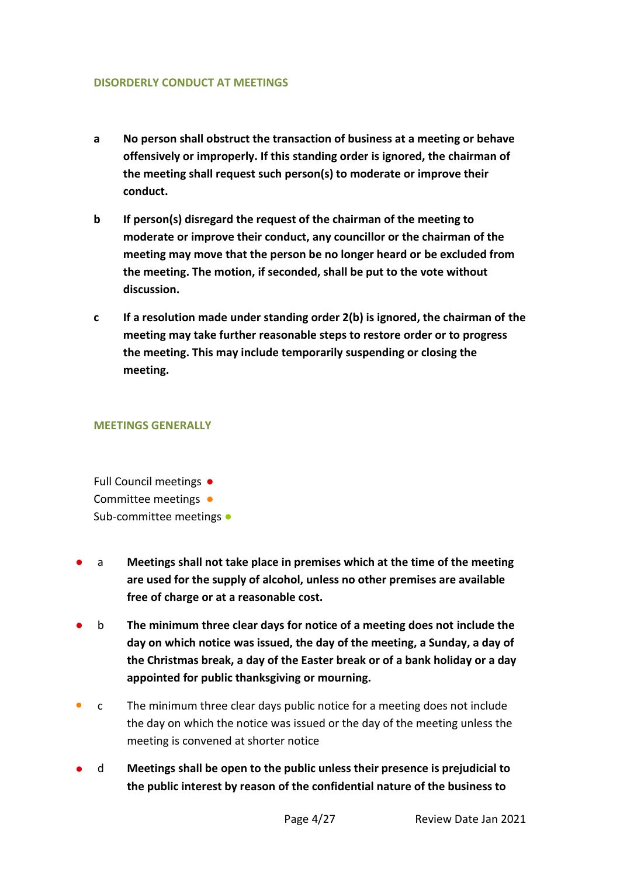### **DISORDERLY CONDUCT AT MEETINGS**

- **a No person shall obstruct the transaction of business at a meeting or behave offensively or improperly. If this standing order is ignored, the chairman of the meeting shall request such person(s) to moderate or improve their conduct.**
- **b If person(s) disregard the request of the chairman of the meeting to moderate or improve their conduct, any councillor or the chairman of the meeting may move that the person be no longer heard or be excluded from the meeting. The motion, if seconded, shall be put to the vote without discussion.**
- **c If a resolution made under standing order 2(b) is ignored, the chairman of the meeting may take further reasonable steps to restore order or to progress the meeting. This may include temporarily suspending or closing the meeting.**

### **MEETINGS GENERALLY**

Full Council meetings ● Committee meetings • Sub-committee meetings •

- a **Meetings shall not take place in premises which at the time of the meeting are used for the supply of alcohol, unless no other premises are available free of charge or at a reasonable cost.**
- b **The minimum three clear days for notice of a meeting does not include the day on which notice was issued, the day of the meeting, a Sunday, a day of the Christmas break, a day of the Easter break or of a bank holiday or a day appointed for public thanksgiving or mourning.**
- c The minimum three clear days public notice for a meeting does not include the day on which the notice was issued or the day of the meeting unless the meeting is convened at shorter notice
- d **Meetings shall be open to the public unless their presence is prejudicial to the public interest by reason of the confidential nature of the business to**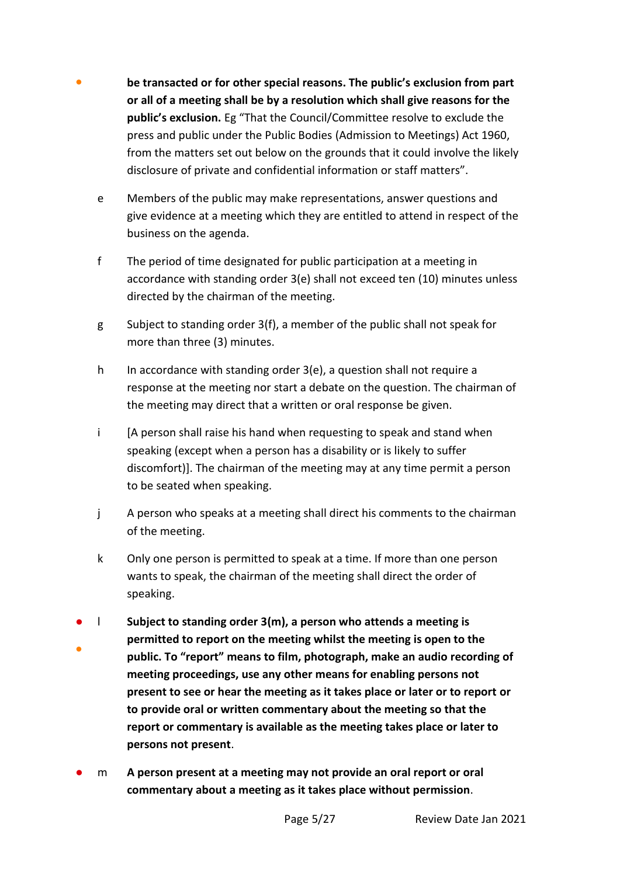- be transacted or for other special reasons. The public's exclusion from part **or all of a meeting shall be by a resolution which shall give reasons for the public's exclusion.** Eg "That the Council/Committee resolve to exclude the press and public under the Public Bodies (Admission to Meetings) Act 1960, from the matters set out below on the grounds that it could involve the likely disclosure of private and confidential information or staff matters".
	- e Members of the public may make representations, answer questions and give evidence at a meeting which they are entitled to attend in respect of the business on the agenda.
	- f The period of time designated for public participation at a meeting in accordance with standing order 3(e) shall not exceed ten (10) minutes unless directed by the chairman of the meeting.
	- g Subject to standing order 3(f), a member of the public shall not speak for more than three (3) minutes.
	- h In accordance with standing order 3(e), a question shall not require a response at the meeting nor start a debate on the question. The chairman of the meeting may direct that a written or oral response be given.
	- i [A person shall raise his hand when requesting to speak and stand when speaking (except when a person has a disability or is likely to suffer discomfort)]. The chairman of the meeting may at any time permit a person to be seated when speaking.
	- j A person who speaks at a meeting shall direct his comments to the chairman of the meeting.
	- k Only one person is permitted to speak at a time. If more than one person wants to speak, the chairman of the meeting shall direct the order of speaking.
- ● l **Subject to standing order 3(m), a person who attends a meeting is permitted to report on the meeting whilst the meeting is open to the public. To "report" means to film, photograph, make an audio recording of meeting proceedings, use any other means for enabling persons not present to see or hear the meeting as it takes place or later or to report or to provide oral or written commentary about the meeting so that the report or commentary is available as the meeting takes place or later to persons not present**.
- m **A person present at a meeting may not provide an oral report or oral commentary about a meeting as it takes place without permission**.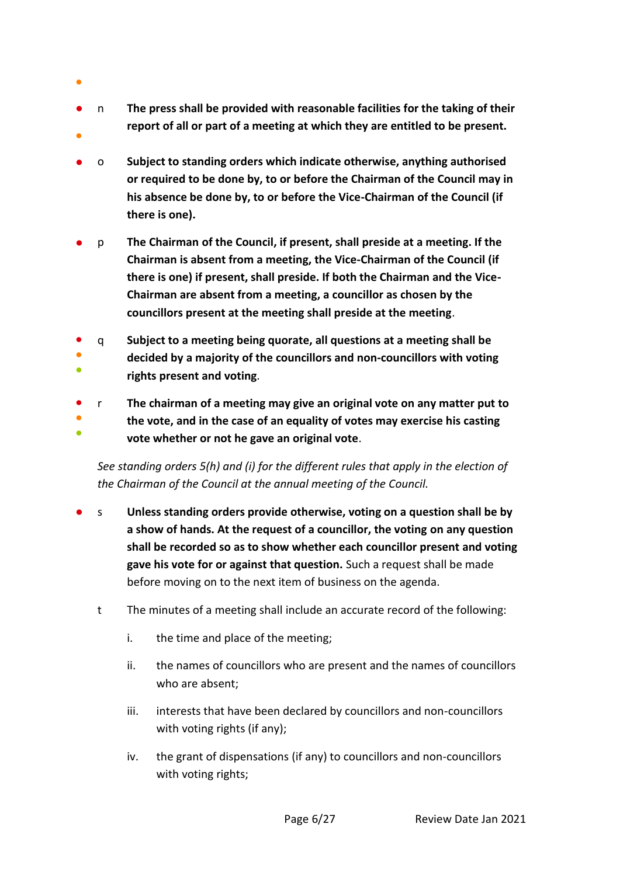- ●
- ● n **The press shall be provided with reasonable facilities for the taking of their report of all or part of a meeting at which they are entitled to be present.**
- o **Subject to standing orders which indicate otherwise, anything authorised or required to be done by, to or before the Chairman of the Council may in his absence be done by, to or before the Vice-Chairman of the Council (if there is one).**
- p **The Chairman of the Council, if present, shall preside at a meeting. If the Chairman is absent from a meeting, the Vice-Chairman of the Council (if there is one) if present, shall preside. If both the Chairman and the Vice-Chairman are absent from a meeting, a councillor as chosen by the councillors present at the meeting shall preside at the meeting**.
- q **Subject to a meeting being quorate, all questions at a meeting shall be**
- ● **decided by a majority of the councillors and non-councillors with voting rights present and voting**.
- r **The chairman of a meeting may give an original vote on any matter put to**
- ● **the vote, and in the case of an equality of votes may exercise his casting vote whether or not he gave an original vote**.

*See standing orders 5(h) and (i) for the different rules that apply in the election of the Chairman of the Council at the annual meeting of the Council.*

- s **Unless standing orders provide otherwise, voting on a question shall be by a show of hands. At the request of a councillor, the voting on any question shall be recorded so as to show whether each councillor present and voting gave his vote for or against that question.** Such a request shall be made before moving on to the next item of business on the agenda.
	- t The minutes of a meeting shall include an accurate record of the following:
		- i. the time and place of the meeting;
		- ii. the names of councillors who are present and the names of councillors who are absent;
		- iii. interests that have been declared by councillors and non-councillors with voting rights (if any);
		- iv. the grant of dispensations (if any) to councillors and non-councillors with voting rights;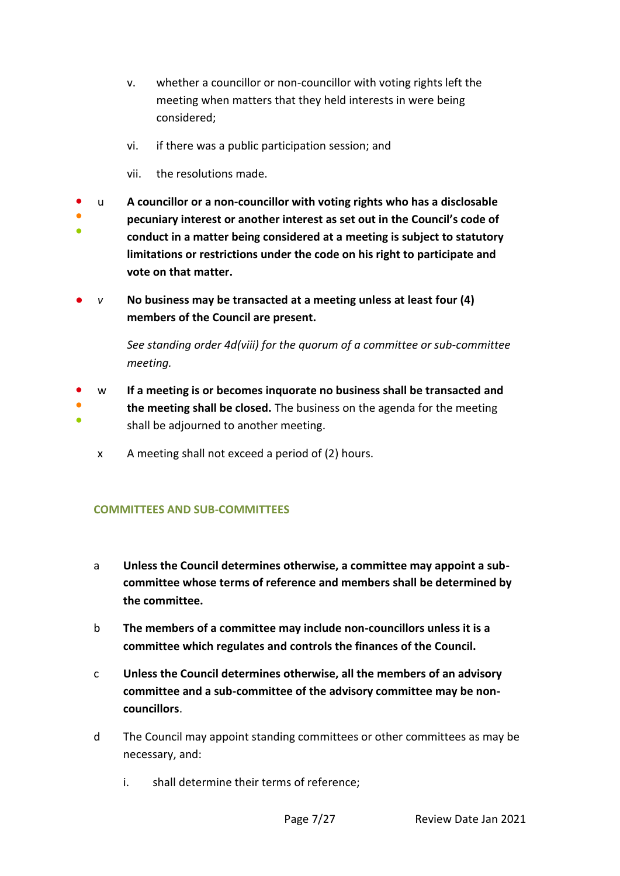- v. whether a councillor or non-councillor with voting rights left the meeting when matters that they held interests in were being considered;
- vi. if there was a public participation session; and
- vii. the resolutions made.
- u **A councillor or a non-councillor with voting rights who has a disclosable**
- ● **pecuniary interest or another interest as set out in the Council's code of conduct in a matter being considered at a meeting is subject to statutory limitations or restrictions under the code on his right to participate and vote on that matter.**
- *v* **No business may be transacted at a meeting unless at least four (4) members of the Council are present.**

*See standing order 4d(viii) for the quorum of a committee or sub-committee meeting.*

- ● ● w **If a meeting is or becomes inquorate no business shall be transacted and the meeting shall be closed.** The business on the agenda for the meeting shall be adjourned to another meeting.
	- x A meeting shall not exceed a period of (2) hours.

## **COMMITTEES AND SUB-COMMITTEES**

- a **Unless the Council determines otherwise, a committee may appoint a subcommittee whose terms of reference and members shall be determined by the committee.**
- b **The members of a committee may include non-councillors unless it is a committee which regulates and controls the finances of the Council.**
- c **Unless the Council determines otherwise, all the members of an advisory committee and a sub-committee of the advisory committee may be noncouncillors**.
- d The Council may appoint standing committees or other committees as may be necessary, and:
	- i. shall determine their terms of reference;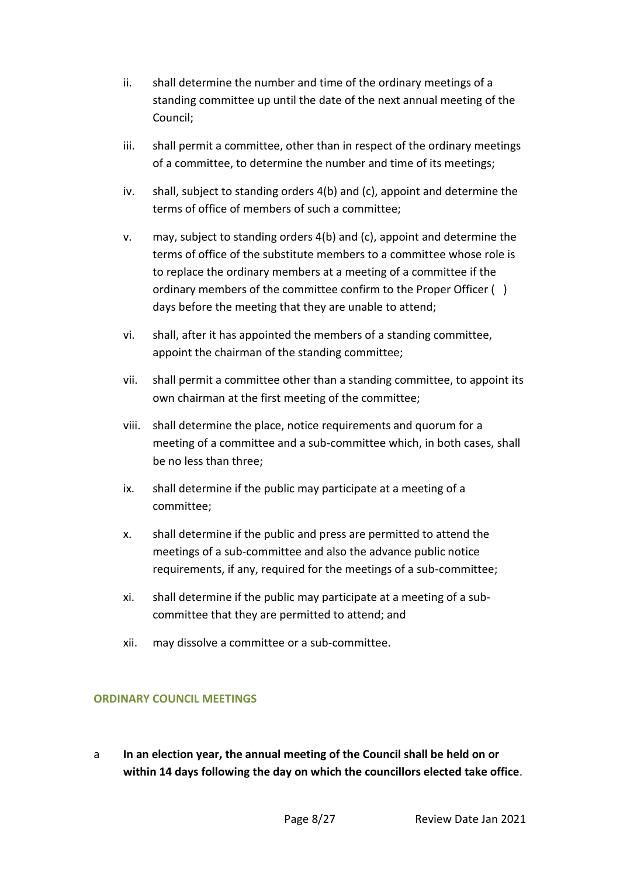- ii. shall determine the number and time of the ordinary meetings of a standing committee up until the date of the next annual meeting of the Council;
- iii. shall permit a committee, other than in respect of the ordinary meetings of a committee, to determine the number and time of its meetings;
- iv. shall, subject to standing orders 4(b) and (c), appoint and determine the terms of office of members of such a committee;
- v. may, subject to standing orders 4(b) and (c), appoint and determine the terms of office of the substitute members to a committee whose role is to replace the ordinary members at a meeting of a committee if the ordinary members of the committee confirm to the Proper Officer ( ) days before the meeting that they are unable to attend;
- vi. shall, after it has appointed the members of a standing committee, appoint the chairman of the standing committee;
- vii. shall permit a committee other than a standing committee, to appoint its own chairman at the first meeting of the committee;
- viii. shall determine the place, notice requirements and quorum for a meeting of a committee and a sub-committee which, in both cases, shall be no less than three;
- ix. shall determine if the public may participate at a meeting of a committee;
- x. shall determine if the public and press are permitted to attend the meetings of a sub-committee and also the advance public notice requirements, if any, required for the meetings of a sub-committee;
- xi. shall determine if the public may participate at a meeting of a subcommittee that they are permitted to attend; and
- xii. may dissolve a committee or a sub-committee.

## **ORDINARY COUNCIL MEETINGS**

a **In an election year, the annual meeting of the Council shall be held on or within 14 days following the day on which the councillors elected take office**.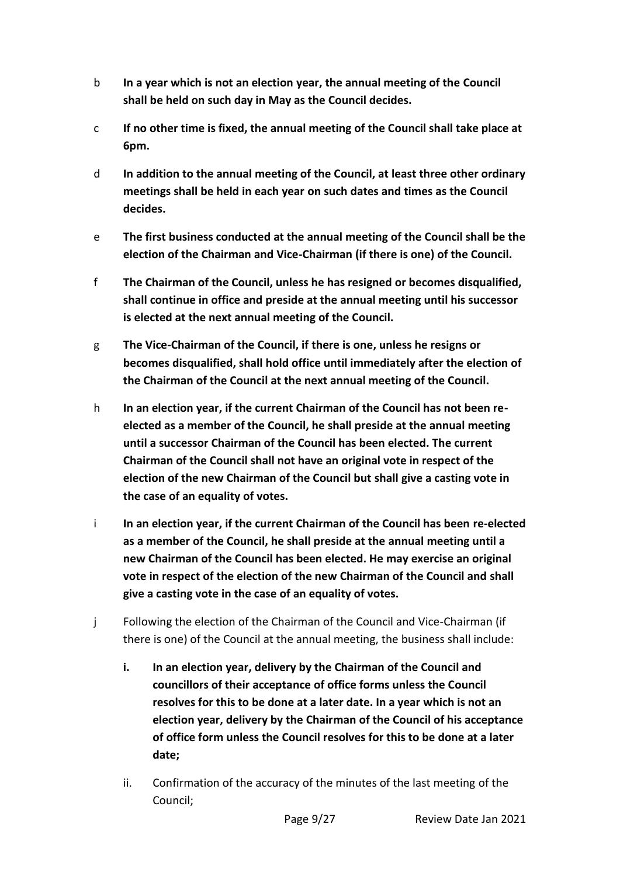- b **In a year which is not an election year, the annual meeting of the Council shall be held on such day in May as the Council decides.**
- c **If no other time is fixed, the annual meeting of the Council shall take place at 6pm.**
- d **In addition to the annual meeting of the Council, at least three other ordinary meetings shall be held in each year on such dates and times as the Council decides.**
- e **The first business conducted at the annual meeting of the Council shall be the election of the Chairman and Vice-Chairman (if there is one) of the Council.**
- f **The Chairman of the Council, unless he has resigned or becomes disqualified, shall continue in office and preside at the annual meeting until his successor is elected at the next annual meeting of the Council.**
- g **The Vice-Chairman of the Council, if there is one, unless he resigns or becomes disqualified, shall hold office until immediately after the election of the Chairman of the Council at the next annual meeting of the Council.**
- h **In an election year, if the current Chairman of the Council has not been reelected as a member of the Council, he shall preside at the annual meeting until a successor Chairman of the Council has been elected. The current Chairman of the Council shall not have an original vote in respect of the election of the new Chairman of the Council but shall give a casting vote in the case of an equality of votes.**
- i **In an election year, if the current Chairman of the Council has been re-elected as a member of the Council, he shall preside at the annual meeting until a new Chairman of the Council has been elected. He may exercise an original vote in respect of the election of the new Chairman of the Council and shall give a casting vote in the case of an equality of votes.**
- j Following the election of the Chairman of the Council and Vice-Chairman (if there is one) of the Council at the annual meeting, the business shall include:
	- **i. In an election year, delivery by the Chairman of the Council and councillors of their acceptance of office forms unless the Council resolves for this to be done at a later date. In a year which is not an election year, delivery by the Chairman of the Council of his acceptance of office form unless the Council resolves for this to be done at a later date;**
	- ii. Confirmation of the accuracy of the minutes of the last meeting of the Council;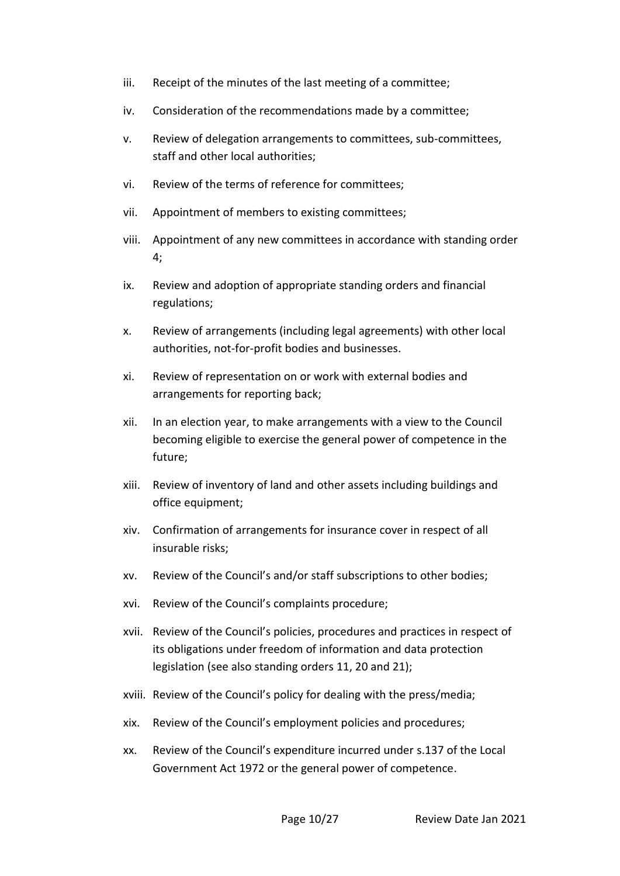- iii. Receipt of the minutes of the last meeting of a committee;
- iv. Consideration of the recommendations made by a committee;
- v. Review of delegation arrangements to committees, sub-committees, staff and other local authorities;
- vi. Review of the terms of reference for committees;
- vii. Appointment of members to existing committees;
- viii. Appointment of any new committees in accordance with standing order 4;
- ix. Review and adoption of appropriate standing orders and financial regulations;
- x. Review of arrangements (including legal agreements) with other local authorities, not-for-profit bodies and businesses.
- xi. Review of representation on or work with external bodies and arrangements for reporting back;
- xii. In an election year, to make arrangements with a view to the Council becoming eligible to exercise the general power of competence in the future;
- xiii. Review of inventory of land and other assets including buildings and office equipment;
- xiv. Confirmation of arrangements for insurance cover in respect of all insurable risks;
- xv. Review of the Council's and/or staff subscriptions to other bodies;
- xvi. Review of the Council's complaints procedure;
- xvii. Review of the Council's policies, procedures and practices in respect of its obligations under freedom of information and data protection legislation (see also standing orders 11, 20 and 21);
- xviii. Review of the Council's policy for dealing with the press/media;
- xix. Review of the Council's employment policies and procedures;
- xx. Review of the Council's expenditure incurred under s.137 of the Local Government Act 1972 or the general power of competence.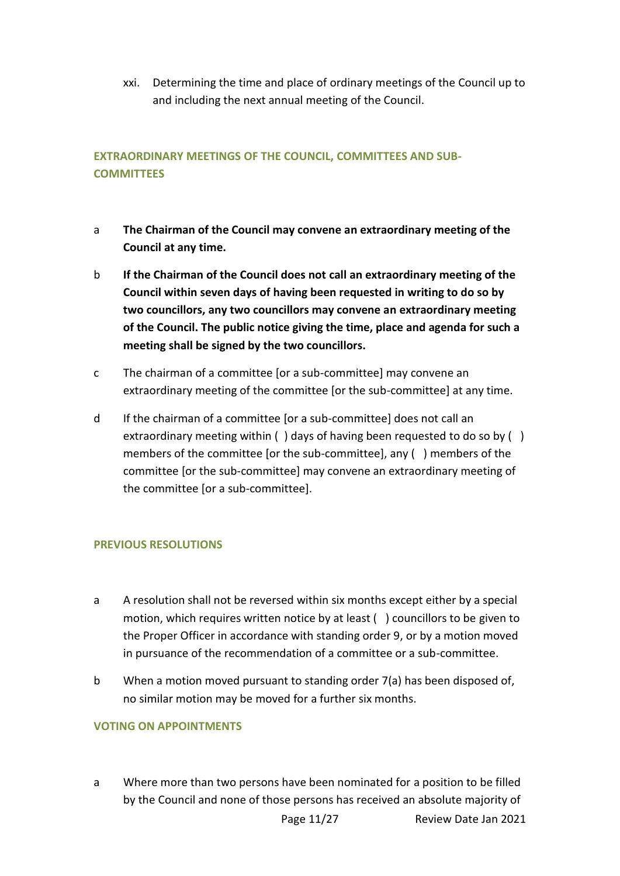xxi. Determining the time and place of ordinary meetings of the Council up to and including the next annual meeting of the Council.

# **EXTRAORDINARY MEETINGS OF THE COUNCIL, COMMITTEES AND SUB-COMMITTEES**

- a **The Chairman of the Council may convene an extraordinary meeting of the Council at any time.**
- b **If the Chairman of the Council does not call an extraordinary meeting of the Council within seven days of having been requested in writing to do so by two councillors, any two councillors may convene an extraordinary meeting of the Council. The public notice giving the time, place and agenda for such a meeting shall be signed by the two councillors.**
- c The chairman of a committee [or a sub-committee] may convene an extraordinary meeting of the committee [or the sub-committee] at any time.
- d If the chairman of a committee [or a sub-committee] does not call an extraordinary meeting within () days of having been requested to do so by () members of the committee [or the sub-committee], any ( ) members of the committee [or the sub-committee] may convene an extraordinary meeting of the committee [or a sub-committee].

## **PREVIOUS RESOLUTIONS**

- a A resolution shall not be reversed within six months except either by a special motion, which requires written notice by at least ( ) councillors to be given to the Proper Officer in accordance with standing order 9, or by a motion moved in pursuance of the recommendation of a committee or a sub-committee.
- b When a motion moved pursuant to standing order 7(a) has been disposed of, no similar motion may be moved for a further six months.

### **VOTING ON APPOINTMENTS**

a Where more than two persons have been nominated for a position to be filled by the Council and none of those persons has received an absolute majority of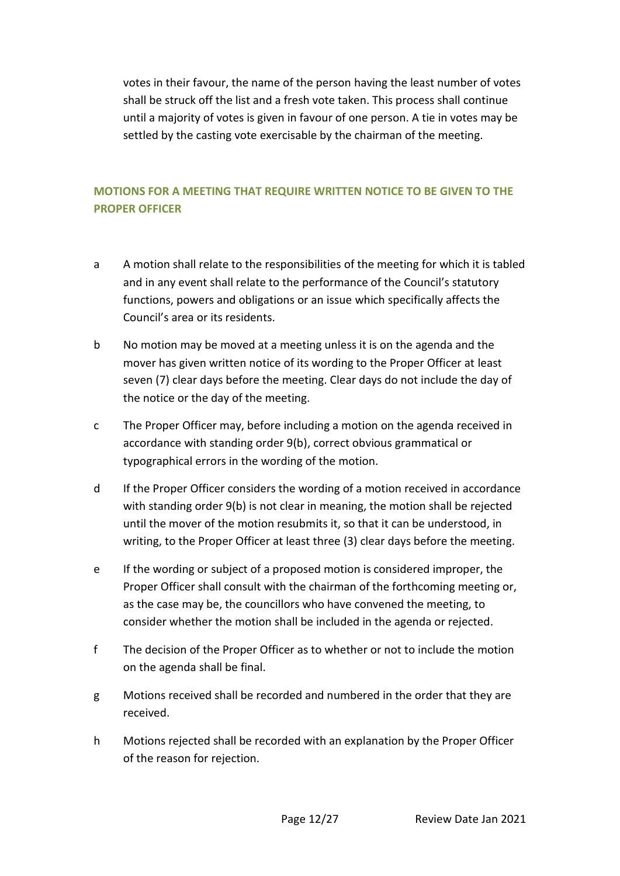votes in their favour, the name of the person having the least number of votes shall be struck off the list and a fresh vote taken. This process shall continue until a majority of votes is given in favour of one person. A tie in votes may be settled by the casting vote exercisable by the chairman of the meeting.

# **MOTIONS FOR A MEETING THAT REQUIRE WRITTEN NOTICE TO BE GIVEN TO THE PROPER OFFICER**

- a A motion shall relate to the responsibilities of the meeting for which it is tabled and in any event shall relate to the performance of the Council's statutory functions, powers and obligations or an issue which specifically affects the Council's area or its residents.
- b No motion may be moved at a meeting unless it is on the agenda and the mover has given written notice of its wording to the Proper Officer at least seven (7) clear days before the meeting. Clear days do not include the day of the notice or the day of the meeting.
- c The Proper Officer may, before including a motion on the agenda received in accordance with standing order 9(b), correct obvious grammatical or typographical errors in the wording of the motion.
- d If the Proper Officer considers the wording of a motion received in accordance with standing order 9(b) is not clear in meaning, the motion shall be rejected until the mover of the motion resubmits it, so that it can be understood, in writing, to the Proper Officer at least three (3) clear days before the meeting.
- e If the wording or subject of a proposed motion is considered improper, the Proper Officer shall consult with the chairman of the forthcoming meeting or, as the case may be, the councillors who have convened the meeting, to consider whether the motion shall be included in the agenda or rejected.
- f The decision of the Proper Officer as to whether or not to include the motion on the agenda shall be final.
- g Motions received shall be recorded and numbered in the order that they are received.
- h Motions rejected shall be recorded with an explanation by the Proper Officer of the reason for rejection.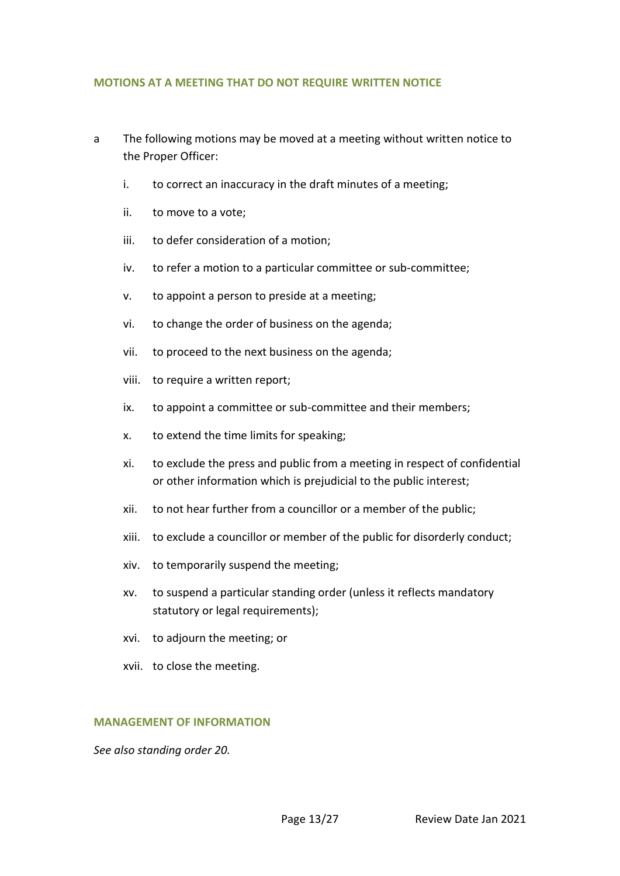### **MOTIONS AT A MEETING THAT DO NOT REQUIRE WRITTEN NOTICE**

- a The following motions may be moved at a meeting without written notice to the Proper Officer:
	- i. to correct an inaccuracy in the draft minutes of a meeting;
	- ii. to move to a vote;
	- iii. to defer consideration of a motion;
	- iv. to refer a motion to a particular committee or sub-committee;
	- v. to appoint a person to preside at a meeting;
	- vi. to change the order of business on the agenda;
	- vii. to proceed to the next business on the agenda;
	- viii. to require a written report;
	- ix. to appoint a committee or sub-committee and their members;
	- x. to extend the time limits for speaking;
	- xi. to exclude the press and public from a meeting in respect of confidential or other information which is prejudicial to the public interest;
	- xii. to not hear further from a councillor or a member of the public;
	- xiii. to exclude a councillor or member of the public for disorderly conduct;
	- xiv. to temporarily suspend the meeting;
	- xv. to suspend a particular standing order (unless it reflects mandatory statutory or legal requirements);
	- xvi. to adjourn the meeting; or
	- xvii. to close the meeting.

### **MANAGEMENT OF INFORMATION**

*See also standing order 20.*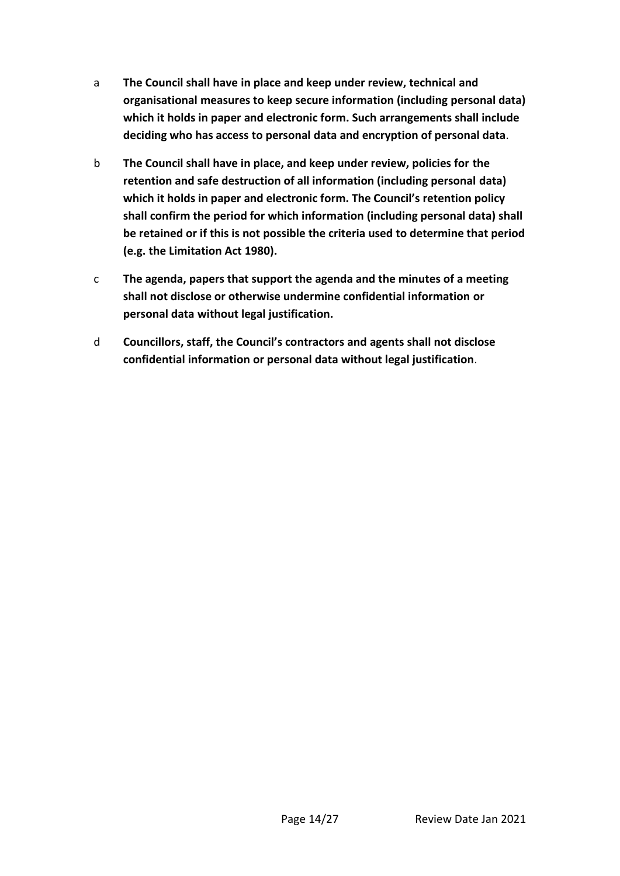- a **The Council shall have in place and keep under review, technical and organisational measures to keep secure information (including personal data) which it holds in paper and electronic form. Such arrangements shall include deciding who has access to personal data and encryption of personal data**.
- b **The Council shall have in place, and keep under review, policies for the retention and safe destruction of all information (including personal data) which it holds in paper and electronic form. The Council's retention policy shall confirm the period for which information (including personal data) shall be retained or if this is not possible the criteria used to determine that period (e.g. the Limitation Act 1980).**
- c **The agenda, papers that support the agenda and the minutes of a meeting shall not disclose or otherwise undermine confidential information or personal data without legal justification.**
- d **Councillors, staff, the Council's contractors and agents shall not disclose confidential information or personal data without legal justification**.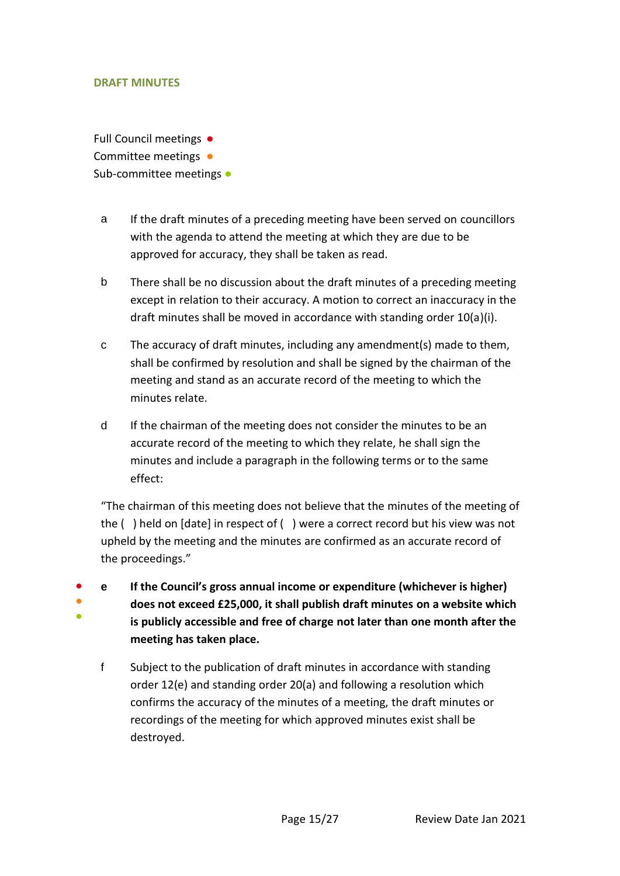### **DRAFT MINUTES**

● ● ● Full Council meetings ● Committee meetings • Sub-committee meetings •

- a If the draft minutes of a preceding meeting have been served on councillors with the agenda to attend the meeting at which they are due to be approved for accuracy, they shall be taken as read.
- b There shall be no discussion about the draft minutes of a preceding meeting except in relation to their accuracy. A motion to correct an inaccuracy in the draft minutes shall be moved in accordance with standing order 10(a)(i).
- c The accuracy of draft minutes, including any amendment(s) made to them, shall be confirmed by resolution and shall be signed by the chairman of the meeting and stand as an accurate record of the meeting to which the minutes relate.
- d If the chairman of the meeting does not consider the minutes to be an accurate record of the meeting to which they relate, he shall sign the minutes and include a paragraph in the following terms or to the same effect:

"The chairman of this meeting does not believe that the minutes of the meeting of the ( ) held on [date] in respect of ( ) were a correct record but his view was not upheld by the meeting and the minutes are confirmed as an accurate record of the proceedings."

- **e If the Council's gross annual income or expenditure (whichever is higher) does not exceed £25,000, it shall publish draft minutes on a website which is publicly accessible and free of charge not later than one month after the meeting has taken place.**
	- f Subject to the publication of draft minutes in accordance with standing order 12(e) and standing order 20(a) and following a resolution which confirms the accuracy of the minutes of a meeting, the draft minutes or recordings of the meeting for which approved minutes exist shall be destroyed.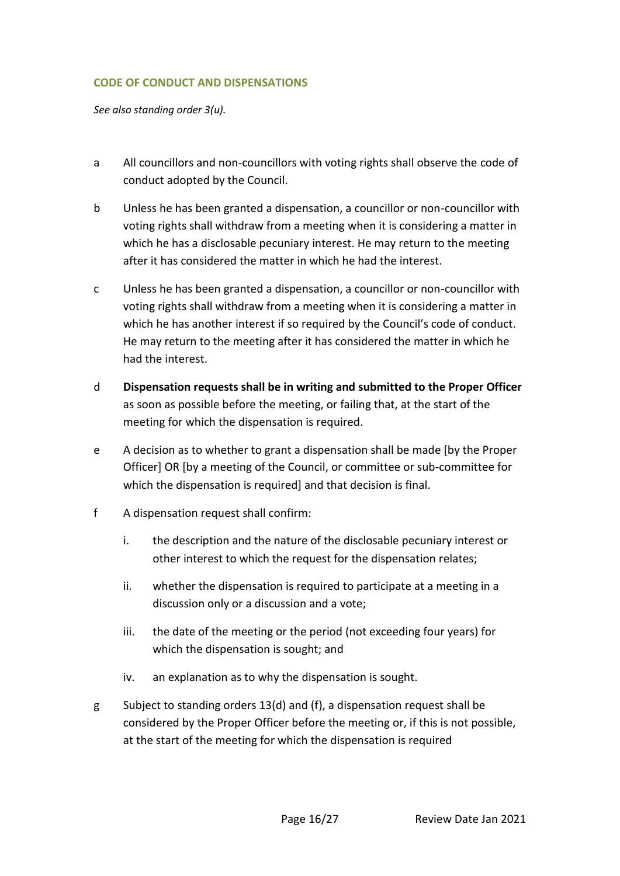## **CODE OF CONDUCT AND DISPENSATIONS**

*See also standing order 3(u).*

- a All councillors and non-councillors with voting rights shall observe the code of conduct adopted by the Council.
- b Unless he has been granted a dispensation, a councillor or non-councillor with voting rights shall withdraw from a meeting when it is considering a matter in which he has a disclosable pecuniary interest. He may return to the meeting after it has considered the matter in which he had the interest.
- c Unless he has been granted a dispensation, a councillor or non-councillor with voting rights shall withdraw from a meeting when it is considering a matter in which he has another interest if so required by the Council's code of conduct. He may return to the meeting after it has considered the matter in which he had the interest.
- d **Dispensation requests shall be in writing and submitted to the Proper Officer** as soon as possible before the meeting, or failing that, at the start of the meeting for which the dispensation is required.
- e A decision as to whether to grant a dispensation shall be made [by the Proper Officer] OR [by a meeting of the Council, or committee or sub-committee for which the dispensation is required] and that decision is final.
- f A dispensation request shall confirm:
	- i. the description and the nature of the disclosable pecuniary interest or other interest to which the request for the dispensation relates;
	- ii. whether the dispensation is required to participate at a meeting in a discussion only or a discussion and a vote;
	- iii. the date of the meeting or the period (not exceeding four years) for which the dispensation is sought; and
	- iv. an explanation as to why the dispensation is sought.
- g Subject to standing orders 13(d) and (f), a dispensation request shall be considered by the Proper Officer before the meeting or, if this is not possible, at the start of the meeting for which the dispensation is required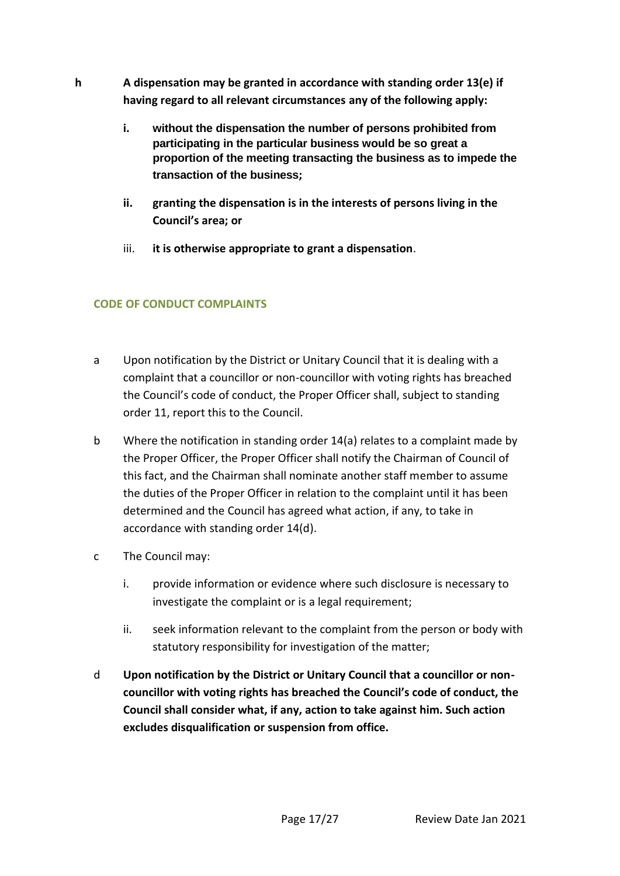- **h A dispensation may be granted in accordance with standing order 13(e) if having regard to all relevant circumstances any of the following apply:**
	- **i. without the dispensation the number of persons prohibited from participating in the particular business would be so great a proportion of the meeting transacting the business as to impede the transaction of the business;**
	- **ii. granting the dispensation is in the interests of persons living in the Council's area; or**
	- iii. **it is otherwise appropriate to grant a dispensation**.

## **CODE OF CONDUCT COMPLAINTS**

- a Upon notification by the District or Unitary Council that it is dealing with a complaint that a councillor or non-councillor with voting rights has breached the Council's code of conduct, the Proper Officer shall, subject to standing order 11, report this to the Council.
- b Where the notification in standing order 14(a) relates to a complaint made by the Proper Officer, the Proper Officer shall notify the Chairman of Council of this fact, and the Chairman shall nominate another staff member to assume the duties of the Proper Officer in relation to the complaint until it has been determined and the Council has agreed what action, if any, to take in accordance with standing order 14(d).
- c The Council may:
	- i. provide information or evidence where such disclosure is necessary to investigate the complaint or is a legal requirement;
	- ii. seek information relevant to the complaint from the person or body with statutory responsibility for investigation of the matter;
- d **Upon notification by the District or Unitary Council that a councillor or noncouncillor with voting rights has breached the Council's code of conduct, the Council shall consider what, if any, action to take against him. Such action excludes disqualification or suspension from office.**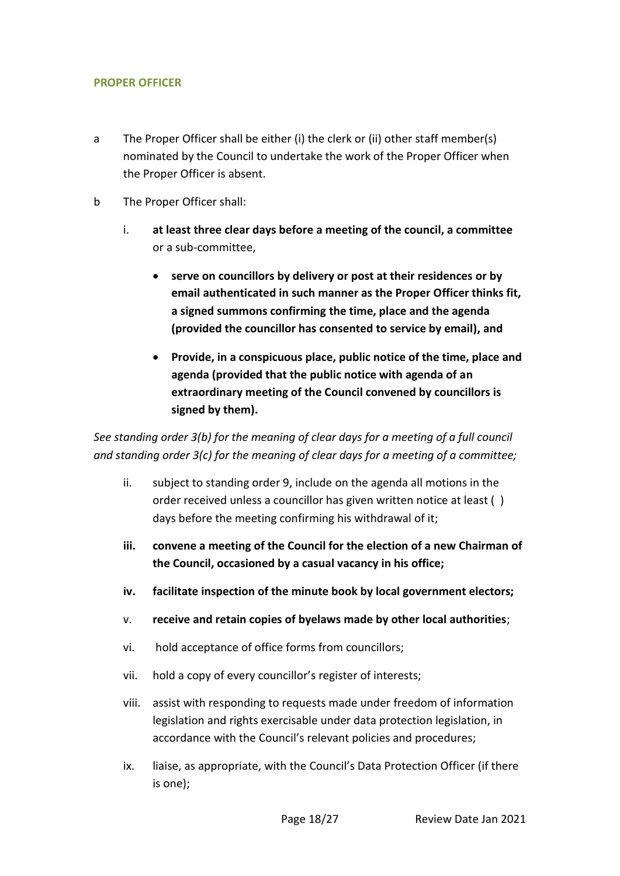## **PROPER OFFICER**

- a The Proper Officer shall be either (i) the clerk or (ii) other staff member(s) nominated by the Council to undertake the work of the Proper Officer when the Proper Officer is absent.
- b The Proper Officer shall:
	- i. **at least three clear days before a meeting of the council, a committee** or a sub-committee,
		- **serve on councillors by delivery or post at their residences or by email authenticated in such manner as the Proper Officer thinks fit, a signed summons confirming the time, place and the agenda (provided the councillor has consented to service by email), and**
		- **Provide, in a conspicuous place, public notice of the time, place and agenda (provided that the public notice with agenda of an extraordinary meeting of the Council convened by councillors is signed by them).**

*See standing order 3(b) for the meaning of clear days for a meeting of a full council and standing order 3(c) for the meaning of clear days for a meeting of a committee;*

- ii. subject to standing order 9, include on the agenda all motions in the order received unless a councillor has given written notice at least ( ) days before the meeting confirming his withdrawal of it;
- **iii. convene a meeting of the Council for the election of a new Chairman of the Council, occasioned by a casual vacancy in his office;**
- **iv. facilitate inspection of the minute book by local government electors;**
- v. **receive and retain copies of byelaws made by other local authorities**;
- vi. hold acceptance of office forms from councillors;
- vii. hold a copy of every councillor's register of interests;
- viii. assist with responding to requests made under freedom of information legislation and rights exercisable under data protection legislation, in accordance with the Council's relevant policies and procedures;
- ix. liaise, as appropriate, with the Council's Data Protection Officer (if there is one);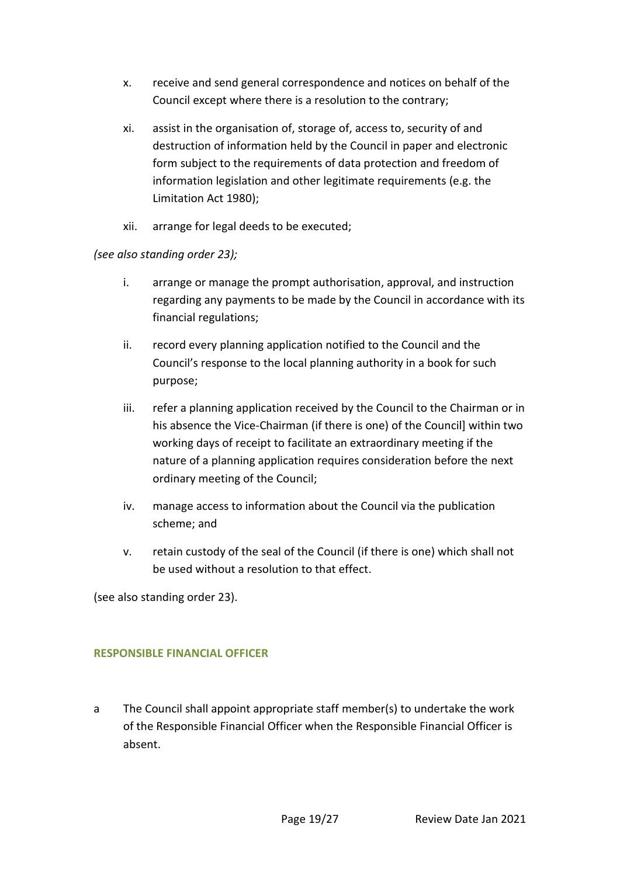- x. receive and send general correspondence and notices on behalf of the Council except where there is a resolution to the contrary;
- xi. assist in the organisation of, storage of, access to, security of and destruction of information held by the Council in paper and electronic form subject to the requirements of data protection and freedom of information legislation and other legitimate requirements (e.g. the Limitation Act 1980);
- xii. arrange for legal deeds to be executed;

## *(see also standing order 23);*

- i. arrange or manage the prompt authorisation, approval, and instruction regarding any payments to be made by the Council in accordance with its financial regulations;
- ii. record every planning application notified to the Council and the Council's response to the local planning authority in a book for such purpose;
- iii. refer a planning application received by the Council to the Chairman or in his absence the Vice-Chairman (if there is one) of the Council] within two working days of receipt to facilitate an extraordinary meeting if the nature of a planning application requires consideration before the next ordinary meeting of the Council;
- iv. manage access to information about the Council via the publication scheme; and
- v. retain custody of the seal of the Council (if there is one) which shall not be used without a resolution to that effect.

(see also standing order 23).

## **RESPONSIBLE FINANCIAL OFFICER**

a The Council shall appoint appropriate staff member(s) to undertake the work of the Responsible Financial Officer when the Responsible Financial Officer is absent.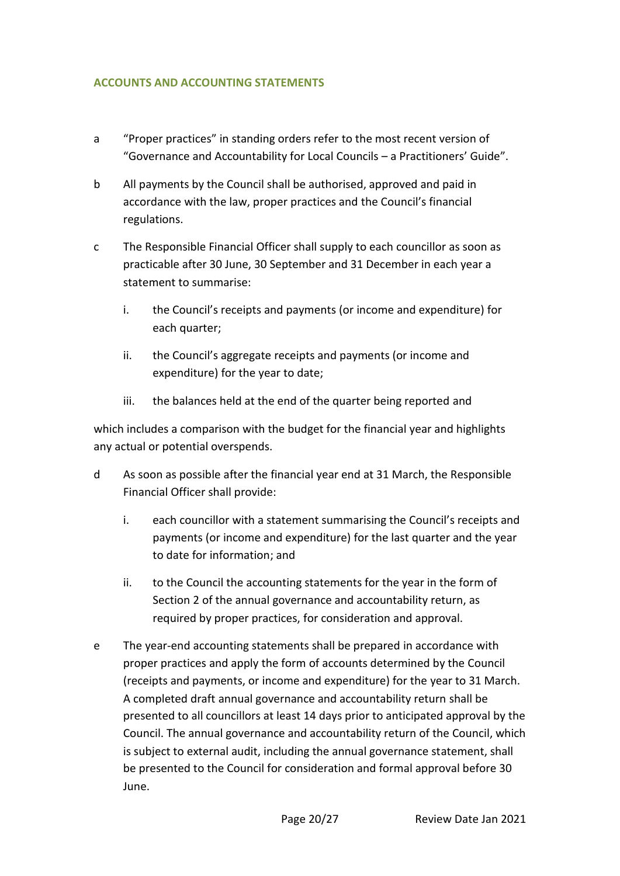## **ACCOUNTS AND ACCOUNTING STATEMENTS**

- a "Proper practices" in standing orders refer to the most recent version of "Governance and Accountability for Local Councils – a Practitioners' Guide".
- b All payments by the Council shall be authorised, approved and paid in accordance with the law, proper practices and the Council's financial regulations.
- c The Responsible Financial Officer shall supply to each councillor as soon as practicable after 30 June, 30 September and 31 December in each year a statement to summarise:
	- i. the Council's receipts and payments (or income and expenditure) for each quarter;
	- ii. the Council's aggregate receipts and payments (or income and expenditure) for the year to date;
	- iii. the balances held at the end of the quarter being reported and

which includes a comparison with the budget for the financial year and highlights any actual or potential overspends.

- d As soon as possible after the financial year end at 31 March, the Responsible Financial Officer shall provide:
	- i. each councillor with a statement summarising the Council's receipts and payments (or income and expenditure) for the last quarter and the year to date for information; and
	- ii. to the Council the accounting statements for the year in the form of Section 2 of the annual governance and accountability return, as required by proper practices, for consideration and approval.
- e The year-end accounting statements shall be prepared in accordance with proper practices and apply the form of accounts determined by the Council (receipts and payments, or income and expenditure) for the year to 31 March. A completed draft annual governance and accountability return shall be presented to all councillors at least 14 days prior to anticipated approval by the Council. The annual governance and accountability return of the Council, which is subject to external audit, including the annual governance statement, shall be presented to the Council for consideration and formal approval before 30 June.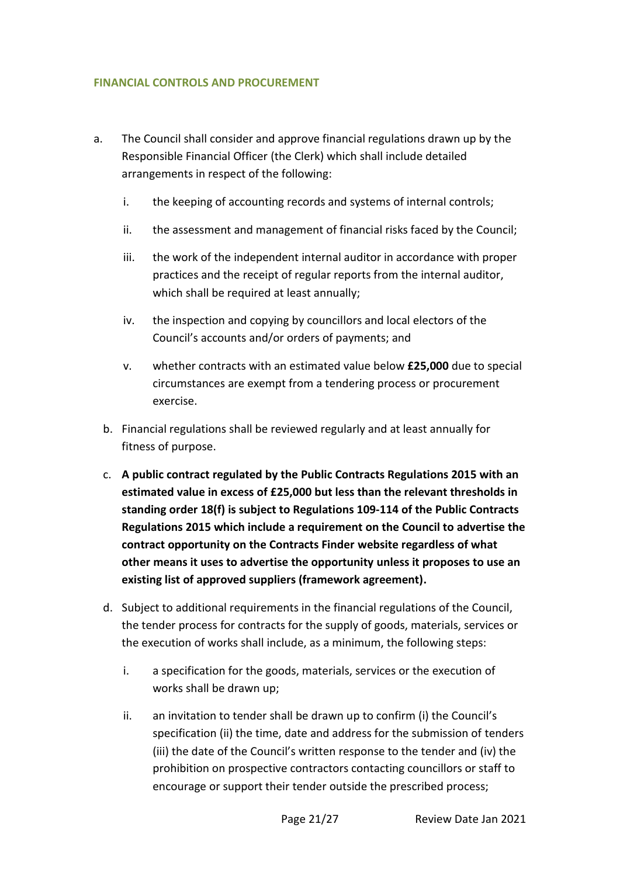## **FINANCIAL CONTROLS AND PROCUREMENT**

- a. The Council shall consider and approve financial regulations drawn up by the Responsible Financial Officer (the Clerk) which shall include detailed arrangements in respect of the following:
	- i. the keeping of accounting records and systems of internal controls;
	- ii. the assessment and management of financial risks faced by the Council;
	- iii. the work of the independent internal auditor in accordance with proper practices and the receipt of regular reports from the internal auditor, which shall be required at least annually;
	- iv. the inspection and copying by councillors and local electors of the Council's accounts and/or orders of payments; and
	- v. whether contracts with an estimated value below **£25,000** due to special circumstances are exempt from a tendering process or procurement exercise.
	- b. Financial regulations shall be reviewed regularly and at least annually for fitness of purpose.
	- c. **A public contract regulated by the Public Contracts Regulations 2015 with an estimated value in excess of £25,000 but less than the relevant thresholds in standing order 18(f) is subject to Regulations 109-114 of the Public Contracts Regulations 2015 which include a requirement on the Council to advertise the contract opportunity on the Contracts Finder website regardless of what other means it uses to advertise the opportunity unless it proposes to use an existing list of approved suppliers (framework agreement).**
	- d. Subject to additional requirements in the financial regulations of the Council, the tender process for contracts for the supply of goods, materials, services or the execution of works shall include, as a minimum, the following steps:
		- i. a specification for the goods, materials, services or the execution of works shall be drawn up;
		- ii. an invitation to tender shall be drawn up to confirm (i) the Council's specification (ii) the time, date and address for the submission of tenders (iii) the date of the Council's written response to the tender and (iv) the prohibition on prospective contractors contacting councillors or staff to encourage or support their tender outside the prescribed process;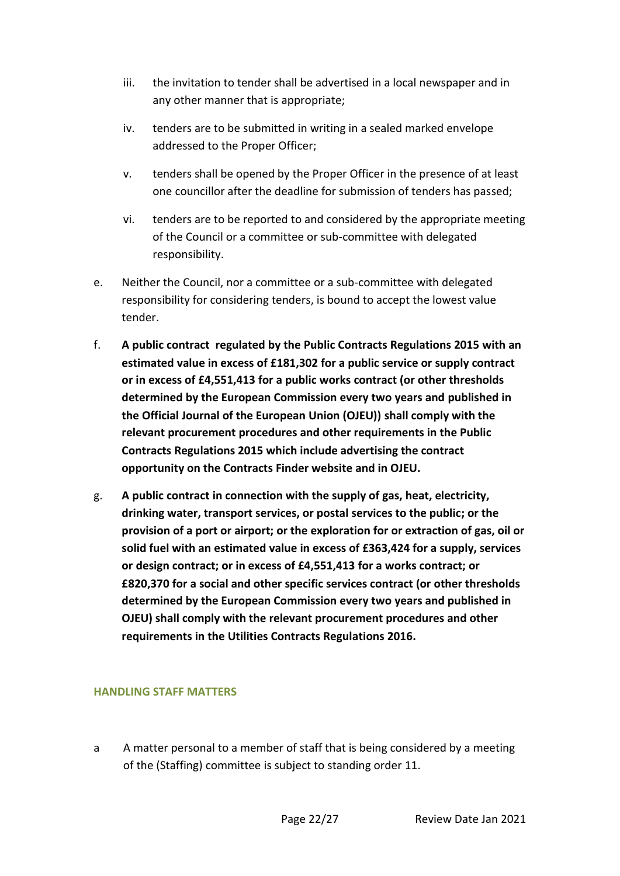- iii. the invitation to tender shall be advertised in a local newspaper and in any other manner that is appropriate;
- iv. tenders are to be submitted in writing in a sealed marked envelope addressed to the Proper Officer;
- v. tenders shall be opened by the Proper Officer in the presence of at least one councillor after the deadline for submission of tenders has passed;
- vi. tenders are to be reported to and considered by the appropriate meeting of the Council or a committee or sub-committee with delegated responsibility.
- e. Neither the Council, nor a committee or a sub-committee with delegated responsibility for considering tenders, is bound to accept the lowest value tender.
- f. **A public contract regulated by the Public Contracts Regulations 2015 with an estimated value in excess of £181,302 for a public service or supply contract or in excess of £4,551,413 for a public works contract (or other thresholds determined by the European Commission every two years and published in the Official Journal of the European Union (OJEU)) shall comply with the relevant procurement procedures and other requirements in the Public Contracts Regulations 2015 which include advertising the contract opportunity on the Contracts Finder website and in OJEU.**
- g. **A public contract in connection with the supply of gas, heat, electricity, drinking water, transport services, or postal services to the public; or the provision of a port or airport; or the exploration for or extraction of gas, oil or solid fuel with an estimated value in excess of £363,424 for a supply, services or design contract; or in excess of £4,551,413 for a works contract; or £820,370 for a social and other specific services contract (or other thresholds determined by the European Commission every two years and published in OJEU) shall comply with the relevant procurement procedures and other requirements in the Utilities Contracts Regulations 2016.**

### **HANDLING STAFF MATTERS**

a A matter personal to a member of staff that is being considered by a meeting of the (Staffing) committee is subject to standing order 11.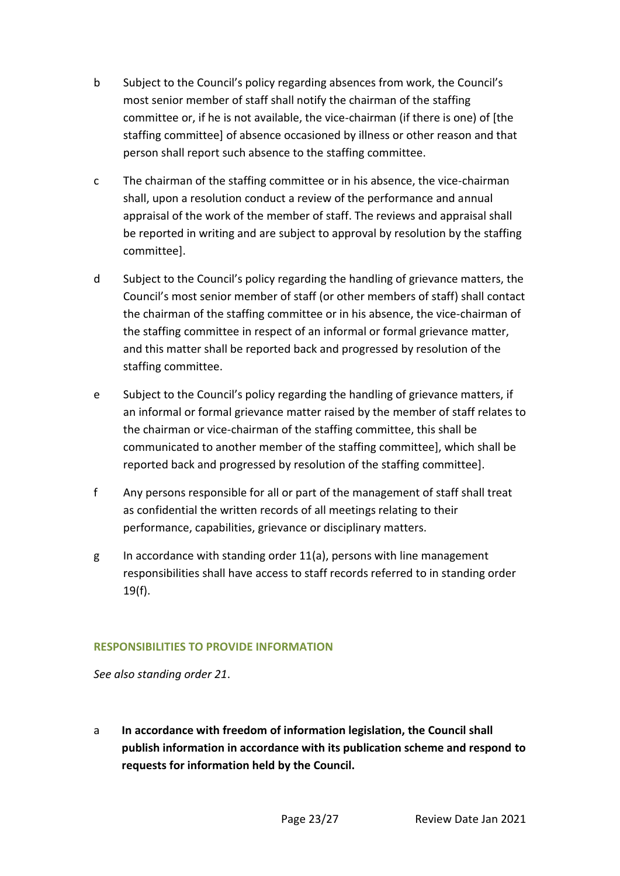- b Subject to the Council's policy regarding absences from work, the Council's most senior member of staff shall notify the chairman of the staffing committee or, if he is not available, the vice-chairman (if there is one) of [the staffing committee] of absence occasioned by illness or other reason and that person shall report such absence to the staffing committee.
- c The chairman of the staffing committee or in his absence, the vice-chairman shall, upon a resolution conduct a review of the performance and annual appraisal of the work of the member of staff. The reviews and appraisal shall be reported in writing and are subject to approval by resolution by the staffing committee].
- d Subject to the Council's policy regarding the handling of grievance matters, the Council's most senior member of staff (or other members of staff) shall contact the chairman of the staffing committee or in his absence, the vice-chairman of the staffing committee in respect of an informal or formal grievance matter, and this matter shall be reported back and progressed by resolution of the staffing committee.
- e Subject to the Council's policy regarding the handling of grievance matters, if an informal or formal grievance matter raised by the member of staff relates to the chairman or vice-chairman of the staffing committee, this shall be communicated to another member of the staffing committee], which shall be reported back and progressed by resolution of the staffing committee].
- f Any persons responsible for all or part of the management of staff shall treat as confidential the written records of all meetings relating to their performance, capabilities, grievance or disciplinary matters.
- g In accordance with standing order  $11(a)$ , persons with line management responsibilities shall have access to staff records referred to in standing order 19(f).

## **RESPONSIBILITIES TO PROVIDE INFORMATION**

*See also standing order 21*.

a **In accordance with freedom of information legislation, the Council shall publish information in accordance with its publication scheme and respond to requests for information held by the Council.**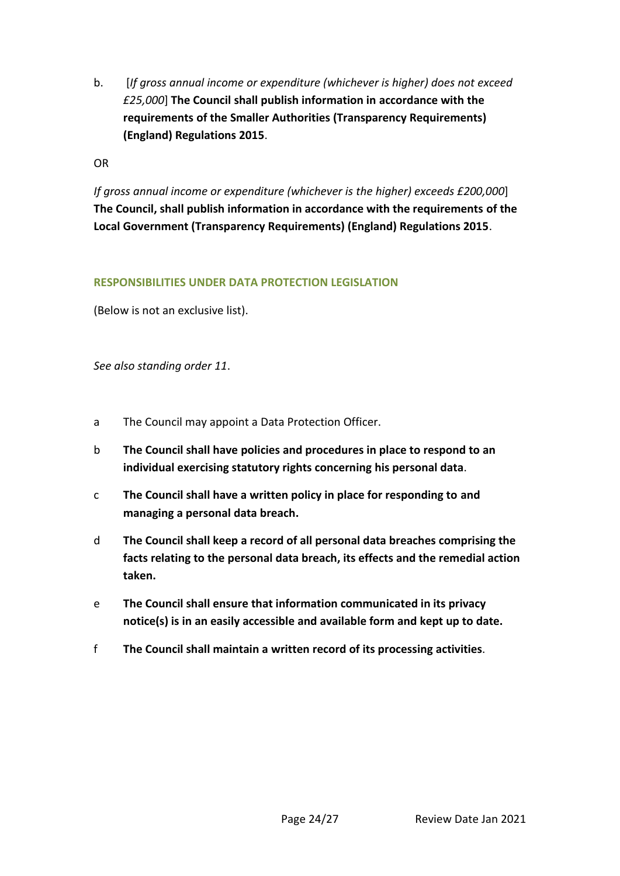b. [*If gross annual income or expenditure (whichever is higher) does not exceed £25,000*] **The Council shall publish information in accordance with the requirements of the Smaller Authorities (Transparency Requirements) (England) Regulations 2015**.

OR

*If gross annual income or expenditure (whichever is the higher) exceeds £200,000*] **The Council, shall publish information in accordance with the requirements of the Local Government (Transparency Requirements) (England) Regulations 2015**.

## **RESPONSIBILITIES UNDER DATA PROTECTION LEGISLATION**

(Below is not an exclusive list).

*See also standing order 11*.

- a The Council may appoint a Data Protection Officer.
- b **The Council shall have policies and procedures in place to respond to an individual exercising statutory rights concerning his personal data**.
- c **The Council shall have a written policy in place for responding to and managing a personal data breach.**
- d **The Council shall keep a record of all personal data breaches comprising the facts relating to the personal data breach, its effects and the remedial action taken.**
- e **The Council shall ensure that information communicated in its privacy notice(s) is in an easily accessible and available form and kept up to date.**
- f **The Council shall maintain a written record of its processing activities**.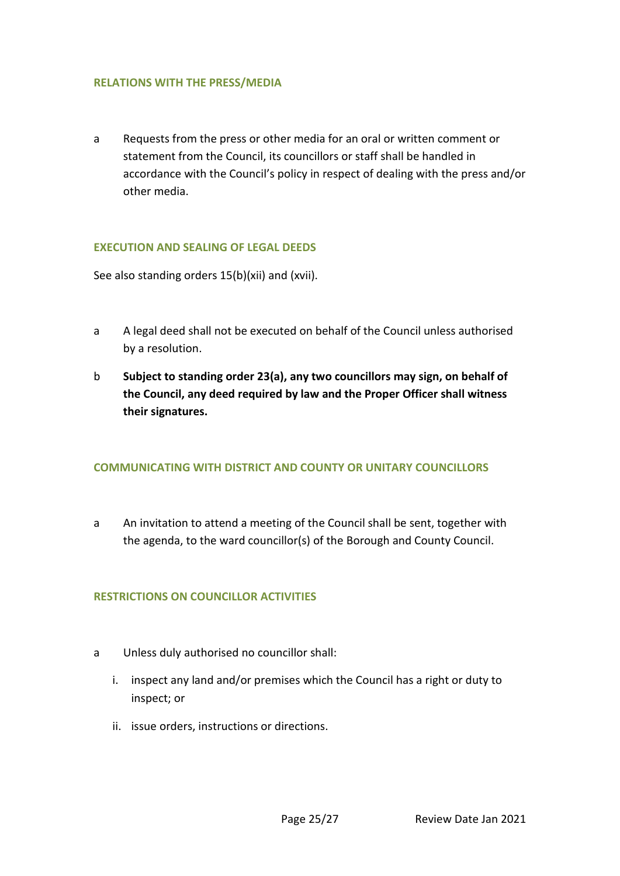### **RELATIONS WITH THE PRESS/MEDIA**

a Requests from the press or other media for an oral or written comment or statement from the Council, its councillors or staff shall be handled in accordance with the Council's policy in respect of dealing with the press and/or other media.

### **EXECUTION AND SEALING OF LEGAL DEEDS**

See also standing orders 15(b)(xii) and (xvii).

- a A legal deed shall not be executed on behalf of the Council unless authorised by a resolution.
- b **Subject to standing order 23(a), any two councillors may sign, on behalf of the Council, any deed required by law and the Proper Officer shall witness their signatures.**

#### **COMMUNICATING WITH DISTRICT AND COUNTY OR UNITARY COUNCILLORS**

a An invitation to attend a meeting of the Council shall be sent, together with the agenda, to the ward councillor(s) of the Borough and County Council.

### **RESTRICTIONS ON COUNCILLOR ACTIVITIES**

- a Unless duly authorised no councillor shall:
	- i. inspect any land and/or premises which the Council has a right or duty to inspect; or
	- ii. issue orders, instructions or directions.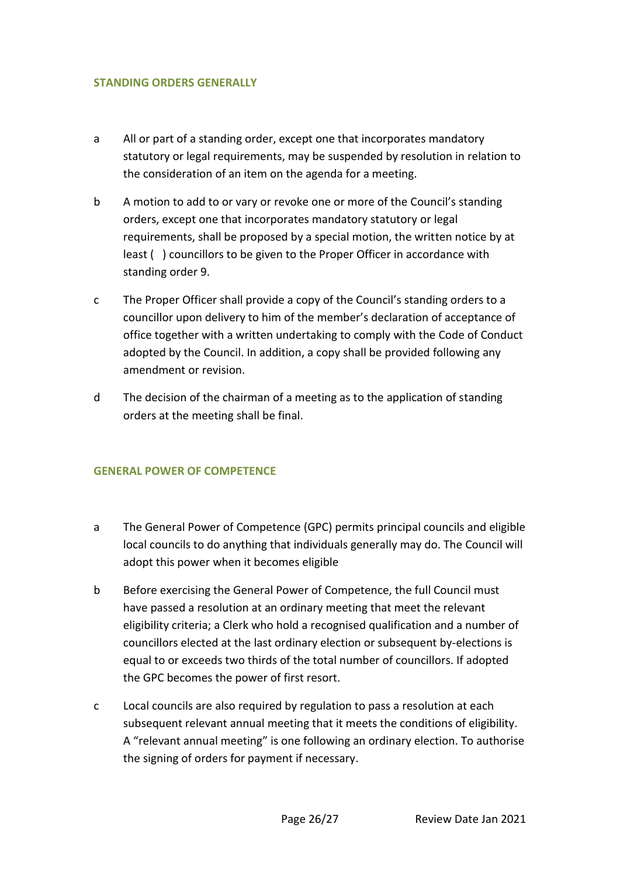## **STANDING ORDERS GENERALLY**

- a All or part of a standing order, except one that incorporates mandatory statutory or legal requirements, may be suspended by resolution in relation to the consideration of an item on the agenda for a meeting.
- b A motion to add to or vary or revoke one or more of the Council's standing orders, except one that incorporates mandatory statutory or legal requirements, shall be proposed by a special motion, the written notice by at least ( ) councillors to be given to the Proper Officer in accordance with standing order 9.
- c The Proper Officer shall provide a copy of the Council's standing orders to a councillor upon delivery to him of the member's declaration of acceptance of office together with a written undertaking to comply with the Code of Conduct adopted by the Council. In addition, a copy shall be provided following any amendment or revision.
- d The decision of the chairman of a meeting as to the application of standing orders at the meeting shall be final.

## **GENERAL POWER OF COMPETENCE**

- a The General Power of Competence (GPC) permits principal councils and eligible local councils to do anything that individuals generally may do. The Council will adopt this power when it becomes eligible
- b Before exercising the General Power of Competence, the full Council must have passed a resolution at an ordinary meeting that meet the relevant eligibility criteria; a Clerk who hold a recognised qualification and a number of councillors elected at the last ordinary election or subsequent by-elections is equal to or exceeds two thirds of the total number of councillors. If adopted the GPC becomes the power of first resort.
- c Local councils are also required by regulation to pass a resolution at each subsequent relevant annual meeting that it meets the conditions of eligibility. A "relevant annual meeting" is one following an ordinary election. To authorise the signing of orders for payment if necessary.